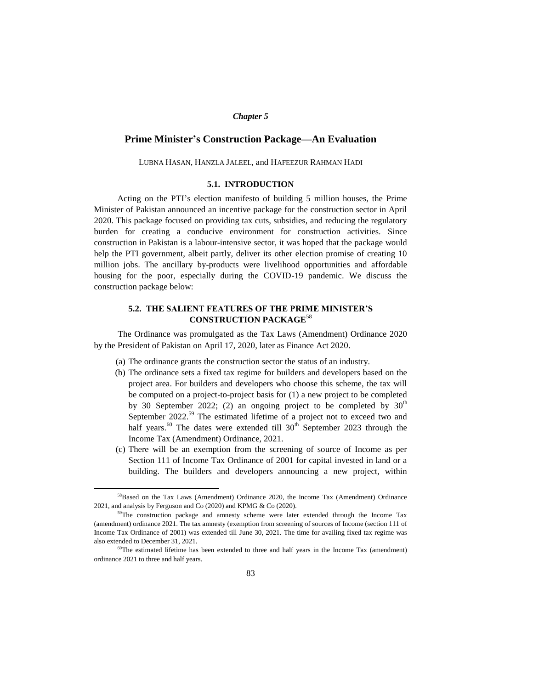#### *Chapter 5*

# **Prime Minister's Construction Package—An Evaluation**

LUBNA HASAN, HANZLA JALEEL, and HAFEEZUR RAHMAN HADI

## **5.1. INTRODUCTION**

Acting on the PTI's election manifesto of building 5 million houses, the Prime Minister of Pakistan announced an incentive package for the construction sector in April 2020. This package focused on providing tax cuts, subsidies, and reducing the regulatory burden for creating a conducive environment for construction activities. Since construction in Pakistan is a labour-intensive sector, it was hoped that the package would help the PTI government, albeit partly, deliver its other election promise of creating 10 million jobs. The ancillary by-products were livelihood opportunities and affordable housing for the poor, especially during the COVID-19 pandemic. We discuss the construction package below:

# **5.2. THE SALIENT FEATURES OF THE PRIME MINISTER'S CONSTRUCTION PACKAGE**<sup>58</sup>

The Ordinance was promulgated as the Tax Laws (Amendment) Ordinance 2020 by the President of Pakistan on April 17, 2020, later as Finance Act 2020.

- (a) The ordinance grants the construction sector the status of an industry.
- (b) The ordinance sets a fixed tax regime for builders and developers based on the project area. For builders and developers who choose this scheme, the tax will be computed on a project-to-project basis for (1) a new project to be completed by 30 September 2022; (2) an ongoing project to be completed by  $30<sup>th</sup>$ September  $2022$ <sup>59</sup> The estimated lifetime of a project not to exceed two and half years.<sup>60</sup> The dates were extended till  $30<sup>th</sup>$  September 2023 through the Income Tax (Amendment) Ordinance, 2021.
- (c) There will be an exemption from the screening of source of Income as per Section 111 of Income Tax Ordinance of 2001 for capital invested in land or a building. The builders and developers announcing a new project, within

 $\overline{a}$ 

<sup>58</sup>Based on the Tax Laws (Amendment) Ordinance 2020, the Income Tax (Amendment) Ordinance 2021, and analysis by Ferguson and Co (2020) and KPMG & Co (2020).

<sup>&</sup>lt;sup>59</sup>The construction package and amnesty scheme were later extended through the Income Tax (amendment) ordinance 2021. The tax amnesty (exemption from screening of sources of Income (section 111 of Income Tax Ordinance of 2001) was extended till June 30, 2021. The time for availing fixed tax regime was also extended to December 31, 2021.

<sup>60</sup>The estimated lifetime has been extended to three and half years in the Income Tax (amendment) ordinance 2021 to three and half years.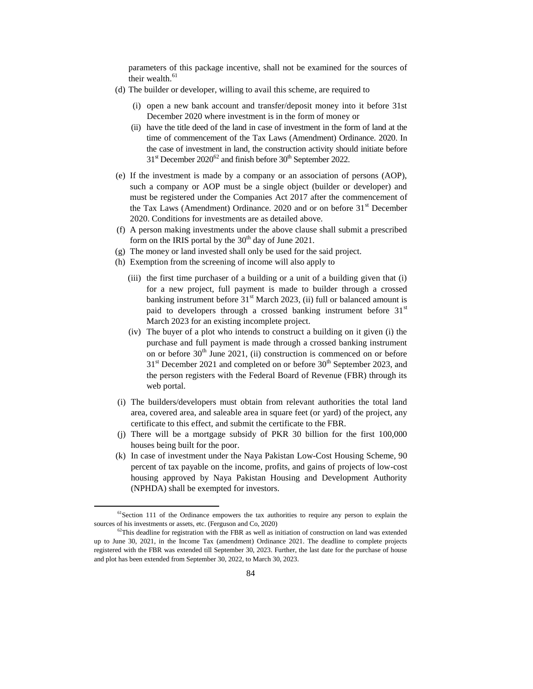parameters of this package incentive, shall not be examined for the sources of their wealth.<sup>61</sup>

- (d) The builder or developer, willing to avail this scheme, are required to
	- (i) open a new bank account and transfer/deposit money into it before 31st December 2020 where investment is in the form of money or
	- (ii) have the title deed of the land in case of investment in the form of land at the time of commencement of the Tax Laws (Amendment) Ordinance. 2020. In the case of investment in land, the construction activity should initiate before  $31<sup>st</sup>$  December 2020<sup>62</sup> and finish before 30<sup>th</sup> September 2022.
- (e) If the investment is made by a company or an association of persons (AOP), such a company or AOP must be a single object (builder or developer) and must be registered under the Companies Act 2017 after the commencement of the Tax Laws (Amendment) Ordinance. 2020 and or on before  $31<sup>st</sup>$  December 2020. Conditions for investments are as detailed above.
- (f) A person making investments under the above clause shall submit a prescribed form on the IRIS portal by the  $30<sup>th</sup>$  day of June 2021.
- (g) The money or land invested shall only be used for the said project.
- (h) Exemption from the screening of income will also apply to
	- (iii) the first time purchaser of a building or a unit of a building given that (i) for a new project, full payment is made to builder through a crossed banking instrument before  $31<sup>st</sup>$  March 2023, (ii) full or balanced amount is paid to developers through a crossed banking instrument before 31<sup>st</sup> March 2023 for an existing incomplete project.
	- (iv) The buyer of a plot who intends to construct a building on it given (i) the purchase and full payment is made through a crossed banking instrument on or before  $30<sup>th</sup>$  June 2021, (ii) construction is commenced on or before  $31<sup>st</sup>$  December 2021 and completed on or before  $30<sup>th</sup>$  September 2023, and the person registers with the Federal Board of Revenue (FBR) through its web portal.
- (i) The builders/developers must obtain from relevant authorities the total land area, covered area, and saleable area in square feet (or yard) of the project, any certificate to this effect, and submit the certificate to the FBR.
- (j) There will be a mortgage subsidy of PKR 30 billion for the first 100,000 houses being built for the poor.
- (k) In case of investment under the Naya Pakistan Low-Cost Housing Scheme, 90 percent of tax payable on the income, profits, and gains of projects of low-cost housing approved by Naya Pakistan Housing and Development Authority (NPHDA) shall be exempted for investors.

 $<sup>61</sup>$ Section 111 of the Ordinance empowers the tax authorities to require any person to explain the</sup> sources of his investments or assets, etc. (Ferguson and Co, 2020)

 $62$ This deadline for registration with the FBR as well as initiation of construction on land was extended up to June 30, 2021, in the Income Tax (amendment) Ordinance 2021. The deadline to complete projects registered with the FBR was extended till September 30, 2023. Further, the last date for the purchase of house and plot has been extended from September 30, 2022, to March 30, 2023.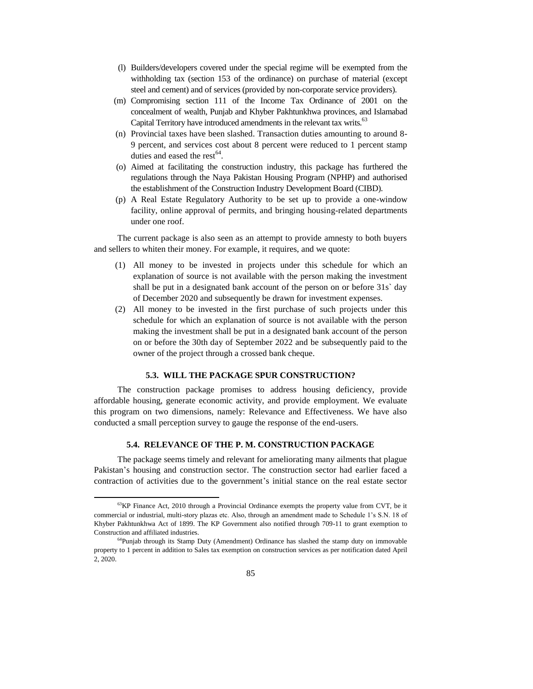- (l) Builders/developers covered under the special regime will be exempted from the withholding tax (section 153 of the ordinance) on purchase of material (except steel and cement) and of services (provided by non-corporate service providers).
- (m) Compromising section 111 of the Income Tax Ordinance of 2001 on the concealment of wealth, Punjab and Khyber Pakhtunkhwa provinces, and Islamabad Capital Territory have introduced amendments in the relevant tax writs.<sup>63</sup>
- (n) Provincial taxes have been slashed. Transaction duties amounting to around 8- 9 percent, and services cost about 8 percent were reduced to 1 percent stamp duties and eased the rest $64$ .
- (o) Aimed at facilitating the construction industry, this package has furthered the regulations through the Naya Pakistan Housing Program (NPHP) and authorised the establishment of the Construction Industry Development Board (CIBD).
- (p) A Real Estate Regulatory Authority to be set up to provide a one-window facility, online approval of permits, and bringing housing-related departments under one roof.

The current package is also seen as an attempt to provide amnesty to both buyers and sellers to whiten their money. For example, it requires, and we quote:

- (1) All money to be invested in projects under this schedule for which an explanation of source is not available with the person making the investment shall be put in a designated bank account of the person on or before 31s` day of December 2020 and subsequently be drawn for investment expenses.
- (2) All money to be invested in the first purchase of such projects under this schedule for which an explanation of source is not available with the person making the investment shall be put in a designated bank account of the person on or before the 30th day of September 2022 and be subsequently paid to the owner of the project through a crossed bank cheque.

## **5.3. WILL THE PACKAGE SPUR CONSTRUCTION?**

The construction package promises to address housing deficiency, provide affordable housing, generate economic activity, and provide employment. We evaluate this program on two dimensions, namely: Relevance and Effectiveness. We have also conducted a small perception survey to gauge the response of the end-users.

# **5.4. RELEVANCE OF THE P. M. CONSTRUCTION PACKAGE**

The package seems timely and relevant for ameliorating many ailments that plague Pakistan's housing and construction sector. The construction sector had earlier faced a contraction of activities due to the government's initial stance on the real estate sector

 $^{63}$ KP Finance Act, 2010 through a Provincial Ordinance exempts the property value from CVT, be it commercial or industrial, multi-story plazas etc. Also, through an amendment made to Schedule 1's S.N. 18 of Khyber Pakhtunkhwa Act of 1899. The KP Government also notified through 709-11 to grant exemption to Construction and affiliated industries.

<sup>&</sup>lt;sup>64</sup>Punjab through its Stamp Duty (Amendment) Ordinance has slashed the stamp duty on immovable property to 1 percent in addition to Sales tax exemption on construction services as per notification dated April 2, 2020.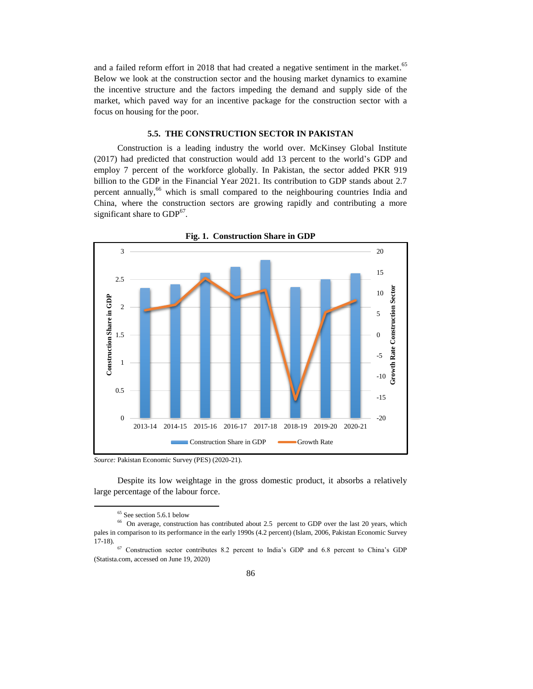and a failed reform effort in 2018 that had created a negative sentiment in the market.<sup>65</sup> Below we look at the construction sector and the housing market dynamics to examine the incentive structure and the factors impeding the demand and supply side of the market, which paved way for an incentive package for the construction sector with a focus on housing for the poor.

## **5.5. THE CONSTRUCTION SECTOR IN PAKISTAN**

Construction is a leading industry the world over. McKinsey Global Institute (2017) had predicted that construction would add 13 percent to the world's GDP and employ 7 percent of the workforce globally. In Pakistan, the sector added PKR 919 billion to the GDP in the Financial Year 2021. Its contribution to GDP stands about 2.7 percent annually,<sup>66</sup> which is small compared to the neighbouring countries India and China, where the construction sectors are growing rapidly and contributing a more significant share to  $GDP<sup>67</sup>$ .



**Fig. 1. Construction Share in GDP**

*Source:* Pakistan Economic Survey (PES) (2020-21).

Despite its low weightage in the gross domestic product, it absorbs a relatively large percentage of the labour force.

<sup>&</sup>lt;sup>65</sup> See section 5.6.1 below

<sup>&</sup>lt;sup>66</sup> On average, construction has contributed about 2.5 percent to GDP over the last 20 years, which pales in comparison to its performance in the early 1990s (4.2 percent) (Islam, 2006, Pakistan Economic Survey 17-18).

<sup>67</sup> Construction sector contributes 8.2 percent to India's GDP and 6.8 percent to China's GDP (Statista.com, accessed on June 19, 2020)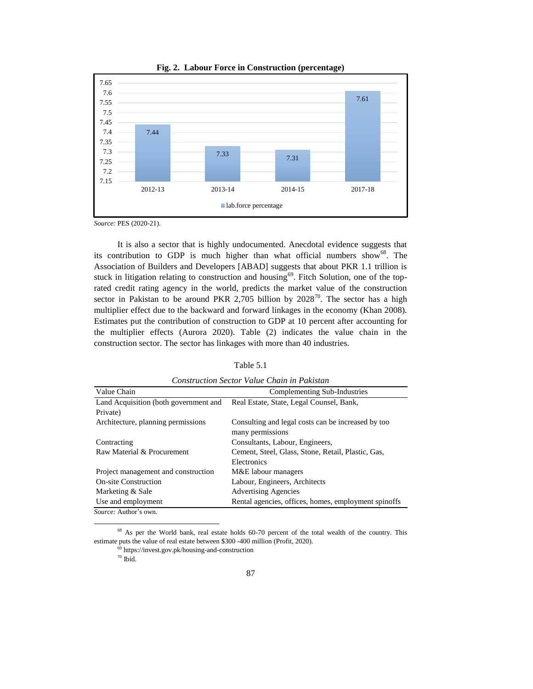

**Fig. 2. Labour Force in Construction (percentage)**

*Source:* PES (2020-21).

It is also a sector that is highly undocumented. Anecdotal evidence suggests that its contribution to GDP is much higher than what official numbers show<sup>68</sup>. The Association of Builders and Developers [ABAD] suggests that about PKR 1.1 trillion is stuck in litigation relating to construction and housing<sup>69</sup>. Fitch Solution, one of the toprated credit rating agency in the world, predicts the market value of the construction sector in Pakistan to be around PKR 2,705 billion by  $2028^{70}$ . The sector has a high multiplier effect due to the backward and forward linkages in the economy (Khan 2008). Estimates put the contribution of construction to GDP at 10 percent after accounting for the multiplier effects (Aurora 2020). Table (2) indicates the value chain in the construction sector. The sector has linkages with more than 40 industries.

Table 5.1

| Construction bector value Chain in Fanishin |                                                      |  |
|---------------------------------------------|------------------------------------------------------|--|
| Value Chain                                 | Complementing Sub-Industries                         |  |
| Land Acquisition (both government and       | Real Estate, State, Legal Counsel, Bank,             |  |
| Private)                                    |                                                      |  |
| Architecture, planning permissions          | Consulting and legal costs can be increased by too   |  |
|                                             | many permissions                                     |  |
| Contracting                                 | Consultants, Labour, Engineers,                      |  |
| Raw Material & Procurement                  | Cement, Steel, Glass, Stone, Retail, Plastic, Gas,   |  |
|                                             | Electronics                                          |  |
| Project management and construction         | M&E labour managers                                  |  |
| <b>On-site Construction</b>                 | Labour, Engineers, Architects                        |  |
| Marketing & Sale                            | <b>Advertising Agencies</b>                          |  |
| Use and employment                          | Rental agencies, offices, homes, employment spinoffs |  |
| <i>Source:</i> Author's own.                |                                                      |  |

*Construction Sector Value Chain in Pakistan*

<sup>&</sup>lt;sup>68</sup> As per the World bank, real estate holds 60-70 percent of the total wealth of the country. This estimate puts the value of real estate between \$300 -400 million (Profit, 2020).

 $^{69}$  https://invest.gov.pk/housing-and-construction

 $70$  Ibid.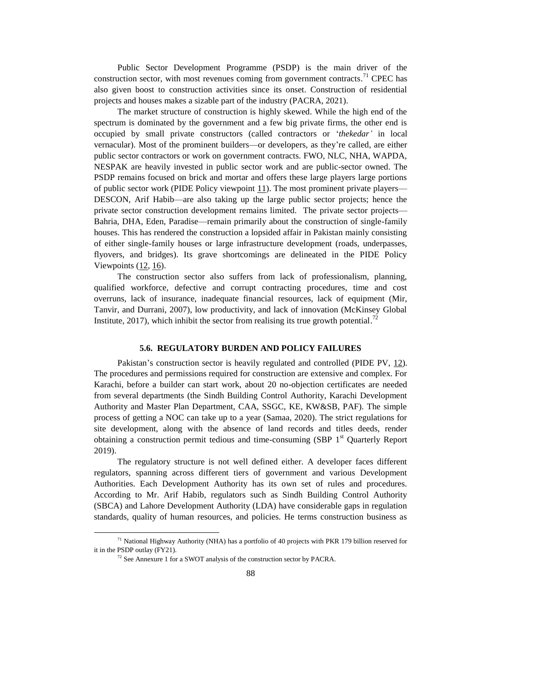Public Sector Development Programme (PSDP) is the main driver of the construction sector, with most revenues coming from government contracts.<sup>71</sup> CPEC has also given boost to construction activities since its onset. Construction of residential projects and houses makes a sizable part of the industry (PACRA, 2021).

The market structure of construction is highly skewed. While the high end of the spectrum is dominated by the government and a few big private firms, the other end is occupied by small private constructors (called contractors or '*thekedar'* in local vernacular). Most of the prominent builders—or developers, as they're called, are either public sector contractors or work on government contracts. FWO, NLC, NHA, WAPDA, NESPAK are heavily invested in public sector work and are public-sector owned. The PSDP remains focused on brick and mortar and offers these large players large portions of public sector work (PIDE Policy viewpoint  $11$ ). The most prominent private players— DESCON, Arif Habib—are also taking up the large public sector projects; hence the private sector construction development remains limited. The private sector projects— Bahria, DHA, Eden, Paradise—remain primarily about the construction of single-family houses. This has rendered the construction a lopsided affair in Pakistan mainly consisting of either single-family houses or large infrastructure development (roads, underpasses, flyovers, and bridges). Its grave shortcomings are delineated in the PIDE Policy Viewpoints [\(12,](https://www.pide.org.pk/pdf/Policy-Viewpoint-12.pdf) [16\)](https://www.pide.org.pk/pdf/Policy-Viewpoint-16.pdf).

The construction sector also suffers from lack of professionalism, planning, qualified workforce, defective and corrupt contracting procedures, time and cost overruns, lack of insurance, inadequate financial resources, lack of equipment (Mir, Tanvir, and Durrani, 2007), low productivity, and lack of innovation (McKinsey Global Institute, 2017), which inhibit the sector from realising its true growth potential.<sup>72</sup>

#### **5.6. REGULATORY BURDEN AND POLICY FAILURES**

Pakistan's construction sector is heavily regulated and controlled (PIDE PV, [12\)](https://www.pide.org.pk/pdf/Policy-Viewpoint-12.pdf). The procedures and permissions required for construction are extensive and complex. For Karachi, before a builder can start work, about 20 no-objection certificates are needed from several departments (the Sindh Building Control Authority, Karachi Development Authority and Master Plan Department, CAA, SSGC, KE, KW&SB, PAF). The simple process of getting a NOC can take up to a year (Samaa, 2020). The strict regulations for site development, along with the absence of land records and titles deeds, render obtaining a construction permit tedious and time-consuming  $(SBP<sup>1</sup>$ <sup>st</sup> Quarterly Report 2019).

The regulatory structure is not well defined either. A developer faces different regulators, spanning across different tiers of government and various Development Authorities. Each Development Authority has its own set of rules and procedures. According to Mr. Arif Habib, regulators such as Sindh Building Control Authority (SBCA) and Lahore Development Authority (LDA) have considerable gaps in regulation standards, quality of human resources, and policies. He terms construction business as

 $71$  National Highway Authority (NHA) has a portfolio of 40 projects with PKR 179 billion reserved for it in the PSDP outlay (FY21).

 $72$  See Annexure 1 for a SWOT analysis of the construction sector by PACRA.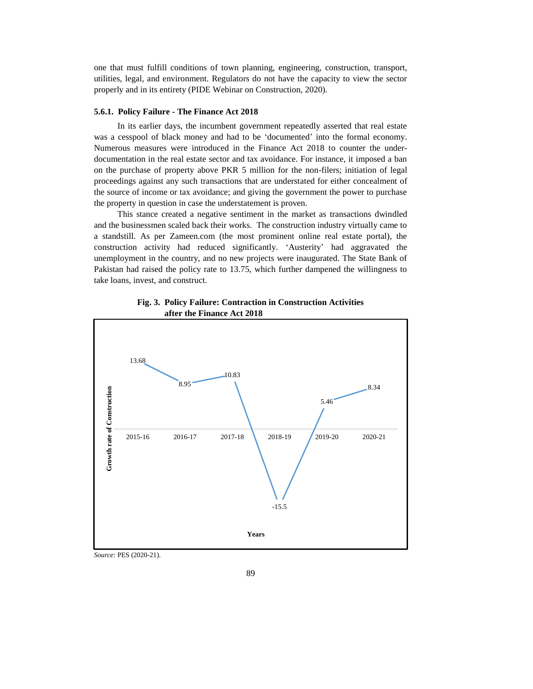one that must fulfill conditions of town planning, engineering, construction, transport, utilities, legal, and environment. Regulators do not have the capacity to view the sector properly and in its entirety (PIDE Webinar on Construction, 2020).

#### **5.6.1. Policy Failure - The Finance Act 2018**

In its earlier days, the incumbent government repeatedly asserted that real estate was a cesspool of black money and had to be 'documented' into the formal economy. Numerous measures were introduced in the Finance Act 2018 to counter the underdocumentation in the real estate sector and tax avoidance. For instance, it imposed a ban on the purchase of property above PKR 5 million for the non-filers; initiation of legal proceedings against any such transactions that are understated for either concealment of the source of income or tax avoidance; and giving the government the power to purchase the property in question in case the understatement is proven.

This stance created a negative sentiment in the market as transactions dwindled and the businessmen scaled back their works. The construction industry virtually came to a standstill. As per Zameen.com (the most prominent online real estate portal), the construction activity had reduced significantly. 'Austerity' had aggravated the unemployment in the country, and no new projects were inaugurated. The State Bank of Pakistan had raised the policy rate to 13.75, which further dampened the willingness to take loans, invest, and construct.





*Source:* PES (2020-21).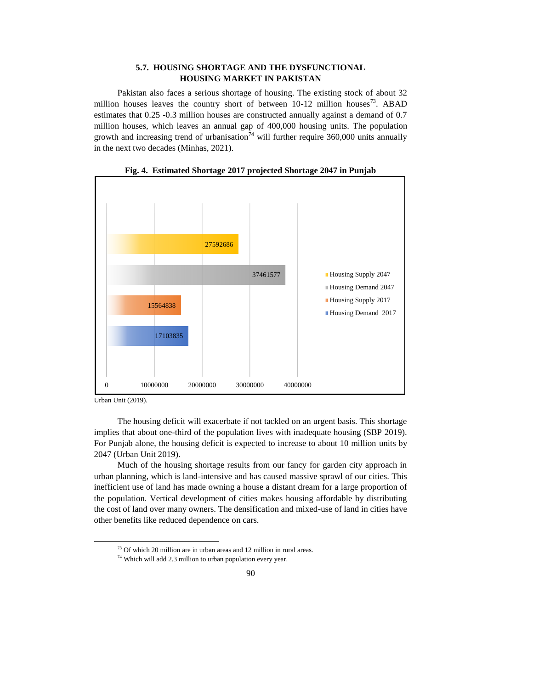# **5.7. HOUSING SHORTAGE AND THE DYSFUNCTIONAL HOUSING MARKET IN PAKISTAN**

Pakistan also faces a serious shortage of housing. The existing stock of about 32 million houses leaves the country short of between  $10-12$  million houses<sup>73</sup>. ABAD estimates that 0.25 -0.3 million houses are constructed annually against a demand of 0.7 million houses, which leaves an annual gap of 400,000 housing units. The population growth and increasing trend of urbanisation<sup>74</sup> will further require 360,000 units annually in the next two decades (Minhas, 2021).



**Fig. 4. Estimated Shortage 2017 projected Shortage 2047 in Punjab**

Urban Unit (2019).

 $\overline{a}$ 

The housing deficit will exacerbate if not tackled on an urgent basis. This shortage implies that about one-third of the population lives with inadequate housing (SBP 2019). For Punjab alone, the housing deficit is expected to increase to about 10 million units by 2047 (Urban Unit 2019).

Much of the housing shortage results from our fancy for garden city approach in urban planning, which is land-intensive and has caused massive sprawl of our cities. This inefficient use of land has made owning a house a distant dream for a large proportion of the population. Vertical development of cities makes housing affordable by distributing the cost of land over many owners. The densification and mixed-use of land in cities have other benefits like reduced dependence on cars.

<sup>73</sup> Of which 20 million are in urban areas and 12 million in rural areas.

<sup>&</sup>lt;sup>74</sup> Which will add 2.3 million to urban population every year.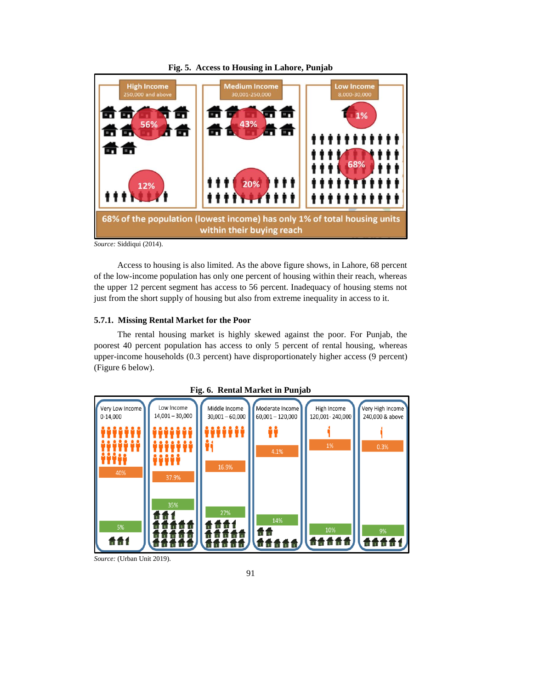

**Fig. 5. Access to Housing in Lahore, Punjab**

*Source:* Siddiqui (2014).

Access to housing is also limited. As the above figure shows, in Lahore, 68 percent of the low-income population has only one percent of housing within their reach, whereas the upper 12 percent segment has access to 56 percent. Inadequacy of housing stems not just from the short supply of housing but also from extreme inequality in access to it.

# **5.7.1. Missing Rental Market for the Poor**

The rental housing market is highly skewed against the poor. For Punjab, the poorest 40 percent population has access to only 5 percent of rental housing, whereas upper-income households (0.3 percent) have disproportionately higher access (9 percent) (Figure 6 below).





*Source:* (Urban Unit 2019).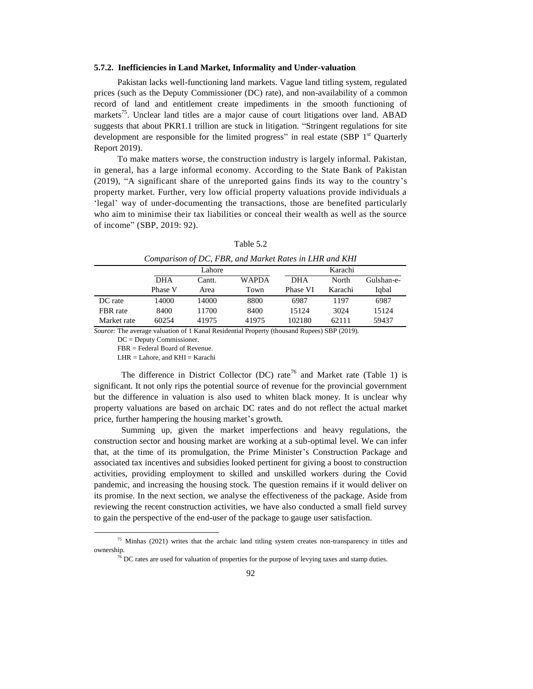#### **5.7.2. Inefficiencies in Land Market, Informality and Under-valuation**

Pakistan lacks well-functioning land markets. Vague land titling system, regulated prices (such as the Deputy Commissioner (DC) rate), and non-availability of a common record of land and entitlement create impediments in the smooth functioning of markets<sup>75</sup>. Unclear land titles are a major cause of court litigations over land. ABAD suggests that about PKR1.1 trillion are stuck in litigation. "Stringent regulations for site development are responsible for the limited progress" in real estate (SBP  $1<sup>st</sup>$  Quarterly Report 2019).

To make matters worse, the construction industry is largely informal. Pakistan, in general, has a large informal economy. According to the State Bank of Pakistan (2019), "A significant share of the unreported gains finds its way to the country's property market. Further, very low official property valuations provide individuals a 'legal' way of under-documenting the transactions, those are benefited particularly who aim to minimise their tax liabilities or conceal their wealth as well as the source of income" (SBP, 2019: 92).

| Comparison of DC, FBR, and Market Rates in LHR and KHI |            |        |              |            |         |            |
|--------------------------------------------------------|------------|--------|--------------|------------|---------|------------|
|                                                        |            | Lahore |              |            | Karachi |            |
|                                                        | <b>DHA</b> | Cantt. | <b>WAPDA</b> | <b>DHA</b> | North   | Gulshan-e- |
|                                                        | Phase V    | Area   | Town         | Phase VI   | Karachi | Iqbal      |
| DC rate                                                | 14000      | 14000  | 8800         | 6987       | 1197    | 6987       |
| FBR rate                                               | 8400       | 11700  | 8400         | 15124      | 3024    | 15124      |
| Market rate                                            | 60254      | 41975  | 41975        | 102180     | 62111   | 59437      |

Table 5.2

*Source:* The average valuation of 1 Kanal Residential Property (thousand Rupees) SBP (2019).

DC = Deputy Commissioner.

l

FBR = Federal Board of Revenue.

LHR = Lahore, and KHI = Karachi

The difference in District Collector (DC) rate<sup>76</sup> and Market rate (Table 1) is significant. It not only rips the potential source of revenue for the provincial government but the difference in valuation is also used to whiten black money. It is unclear why property valuations are based on archaic DC rates and do not reflect the actual market price, further hampering the housing market's growth.

Summing up, given the market imperfections and heavy regulations, the construction sector and housing market are working at a sub-optimal level. We can infer that, at the time of its promulgation, the Prime Minister's Construction Package and associated tax incentives and subsidies looked pertinent for giving a boost to construction activities, providing employment to skilled and unskilled workers during the Covid pandemic, and increasing the housing stock. The question remains if it would deliver on its promise. In the next section, we analyse the effectiveness of the package. Aside from reviewing the recent construction activities, we have also conducted a small field survey to gain the perspective of the end-user of the package to gauge user satisfaction.

 $75$  Minhas (2021) writes that the archaic land titling system creates non-transparency in titles and ownership.

 $76$  DC rates are used for valuation of properties for the purpose of levying taxes and stamp duties.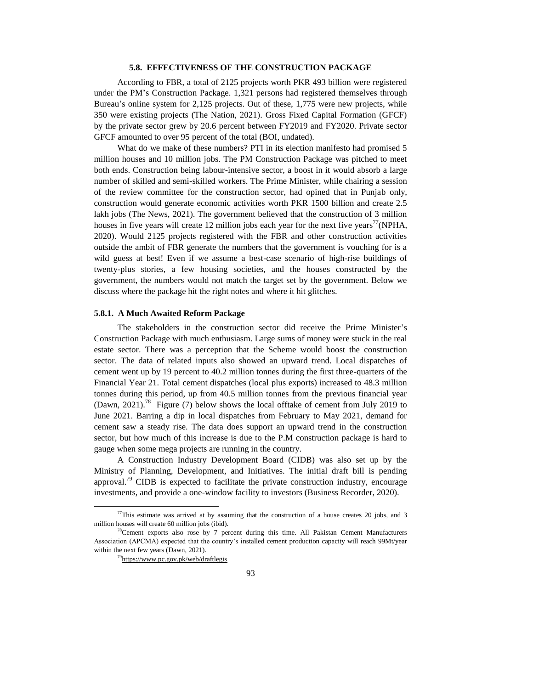## **5.8. EFFECTIVENESS OF THE CONSTRUCTION PACKAGE**

According to FBR, a total of 2125 projects worth PKR 493 billion were registered under the PM's Construction Package. 1,321 persons had registered themselves through Bureau's online system for 2,125 projects. Out of these, 1,775 were new projects, while 350 were existing projects (The Nation, 2021). Gross Fixed Capital Formation (GFCF) by the private sector grew by 20.6 percent between FY2019 and FY2020. Private sector GFCF amounted to over 95 percent of the total (BOI, undated).

What do we make of these numbers? PTI in its election manifesto had promised 5 million houses and 10 million jobs. The PM Construction Package was pitched to meet both ends. Construction being labour-intensive sector, a boost in it would absorb a large number of skilled and semi-skilled workers. The Prime Minister, while chairing a session of the review committee for the construction sector, had opined that in Punjab only, construction would generate economic activities worth PKR 1500 billion and create 2.5 lakh jobs (The News, 2021). The government believed that the construction of 3 million houses in five years will create 12 million jobs each year for the next five years<sup>77</sup>(NPHA, 2020). Would 2125 projects registered with the FBR and other construction activities outside the ambit of FBR generate the numbers that the government is vouching for is a wild guess at best! Even if we assume a best-case scenario of high-rise buildings of twenty-plus stories, a few housing societies, and the houses constructed by the government, the numbers would not match the target set by the government. Below we discuss where the package hit the right notes and where it hit glitches.

#### **5.8.1. A Much Awaited Reform Package**

The stakeholders in the construction sector did receive the Prime Minister's Construction Package with much enthusiasm. Large sums of money were stuck in the real estate sector. There was a perception that the Scheme would boost the construction sector. The data of related inputs also showed an upward trend. Local dispatches of cement went up by 19 percent to 40.2 million tonnes during the first three-quarters of the Financial Year 21. Total cement dispatches (local plus exports) increased to 48.3 million tonnes during this period, up from 40.5 million tonnes from the previous financial year (Dawn, 2021).<sup>78</sup> Figure (7) below shows the local offtake of cement from July 2019 to June 2021. Barring a dip in local dispatches from February to May 2021, demand for cement saw a steady rise. The data does support an upward trend in the construction sector, but how much of this increase is due to the P.M construction package is hard to gauge when some mega projects are running in the country.

A Construction Industry Development Board (CIDB) was also set up by the Ministry of Planning, Development, and Initiatives. The initial draft bill is pending approval.<sup>79</sup> CIDB is expected to facilitate the private construction industry, encourage investments, and provide a one-window facility to investors (Business Recorder, 2020).

 $77$ This estimate was arrived at by assuming that the construction of a house creates 20 jobs, and 3 million houses will create 60 million jobs (ibid).

 $78$ Cement exports also rose by 7 percent during this time. All Pakistan Cement Manufacturers Association (APCMA) expected that the country's installed cement production capacity will reach 99Mt/year within the next few years (Dawn, 2021).

<sup>&</sup>lt;sup>79</sup><https://www.pc.gov.pk/web/draftlegis>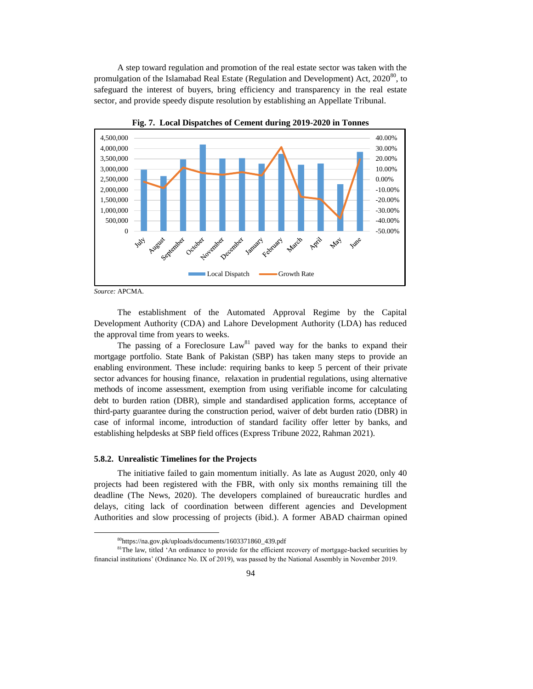A step toward regulation and promotion of the real estate sector was taken with the promulgation of the Islamabad Real Estate (Regulation and Development) Act,  $2020^{80}$ , to safeguard the interest of buyers, bring efficiency and transparency in the real estate sector, and provide speedy dispute resolution by establishing an Appellate Tribunal.





l

The establishment of the Automated Approval Regime by the Capital Development Authority (CDA) and Lahore Development Authority (LDA) has reduced the approval time from years to weeks.

The passing of a Foreclosure  $Law<sup>81</sup>$  paved way for the banks to expand their mortgage portfolio. State Bank of Pakistan (SBP) has taken many steps to provide an enabling environment. These include: requiring banks to keep 5 percent of their private sector advances for housing finance, relaxation in prudential regulations, using alternative methods of income assessment, exemption from using verifiable income for calculating debt to burden ration (DBR), simple and standardised application forms, acceptance of third-party guarantee during the construction period, waiver of debt burden ratio (DBR) in case of informal income, introduction of standard facility offer letter by banks, and establishing helpdesks at SBP field offices (Express Tribune 2022, Rahman 2021).

### **5.8.2. Unrealistic Timelines for the Projects**

The initiative failed to gain momentum initially. As late as August 2020, only 40 projects had been registered with the FBR, with only six months remaining till the deadline (The News, 2020). The developers complained of bureaucratic hurdles and delays, citing lack of coordination between different agencies and Development Authorities and slow processing of projects (ibid.). A former ABAD chairman opined

*Source:* APCMA.

<sup>80</sup>https://na.gov.pk/uploads/documents/1603371860\_439.pdf

<sup>&</sup>lt;sup>81</sup>The law, titled 'An ordinance to provide for the efficient recovery of mortgage-backed securities by financial institutions' (Ordinance No. IX of 2019), was passed by the National Assembly in November 2019.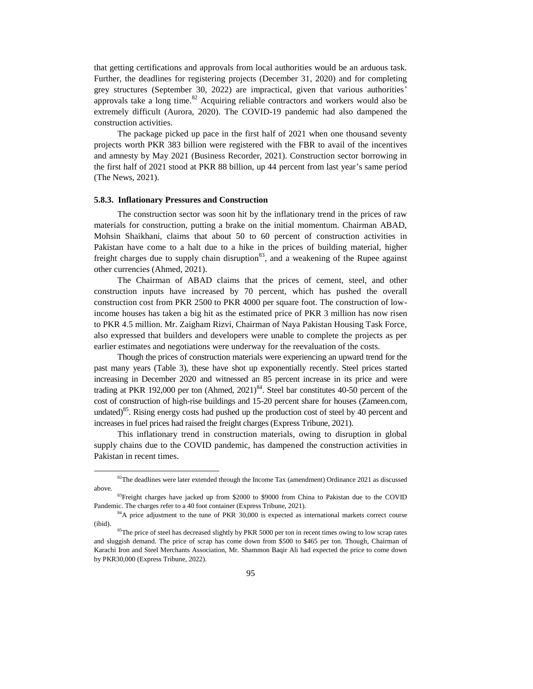that getting certifications and approvals from local authorities would be an arduous task. Further, the deadlines for registering projects (December 31, 2020) and for completing grey structures (September 30, 2022) are impractical, given that various authorities' approvals take a long time. $82$  Acquiring reliable contractors and workers would also be extremely difficult (Aurora, 2020). The COVID-19 pandemic had also dampened the construction activities.

The package picked up pace in the first half of 2021 when one thousand seventy projects worth PKR 383 billion were registered with the FBR to avail of the incentives and amnesty by May 2021 (Business Recorder, 2021). Construction sector borrowing in the first half of 2021 stood at PKR 88 billion, up 44 percent from last year's same period (The News, 2021).

#### **5.8.3. Inflationary Pressures and Construction**

 $\overline{\phantom{a}}$ 

The construction sector was soon hit by the inflationary trend in the prices of raw materials for construction, putting a brake on the initial momentum. Chairman ABAD, Mohsin Shaikhani, claims that about 50 to 60 percent of construction activities in Pakistan have come to a halt due to a hike in the prices of building material, higher freight charges due to supply chain disruption<sup>83</sup>, and a weakening of the Rupee against other currencies (Ahmed, 2021).

The Chairman of ABAD claims that the prices of cement, steel, and other construction inputs have increased by 70 percent, which has pushed the overall construction cost from PKR 2500 to PKR 4000 per square foot. The construction of lowincome houses has taken a big hit as the estimated price of PKR 3 million has now risen to PKR 4.5 million. Mr. Zaigham Rizvi, Chairman of Naya Pakistan Housing Task Force, also expressed that builders and developers were unable to complete the projects as per earlier estimates and negotiations were underway for the reevaluation of the costs.

Though the prices of construction materials were experiencing an upward trend for the past many years (Table 3), these have shot up exponentially recently. Steel prices started increasing in December 2020 and witnessed an 85 percent increase in its price and were trading at PKR 192,000 per ton (Ahmed,  $2021$ )<sup>84</sup>. Steel bar constitutes 40-50 percent of the cost of construction of high-rise buildings and 15-20 percent share for houses (Zameen.com, undated)<sup>85</sup>. Rising energy costs had pushed up the production cost of steel by 40 percent and increases in fuel prices had raised the freight charges (Express Tribune, 2021).

This inflationary trend in construction materials, owing to disruption in global supply chains due to the COVID pandemic, has dampened the construction activities in Pakistan in recent times.

 $82$ The deadlines were later extended through the Income Tax (amendment) Ordinance 2021 as discussed above.

<sup>&</sup>lt;sup>83</sup>Freight charges have jacked up from \$2000 to \$9000 from China to Pakistan due to the COVID Pandemic. The charges refer to a 40 foot container (Express Tribune, 2021).

<sup>&</sup>lt;sup>84</sup>A price adjustment to the tune of PKR 30,000 is expected as international markets correct course (ibid).

<sup>&</sup>lt;sup>85</sup>The price of steel has decreased slightly by PKR 5000 per ton in recent times owing to low scrap rates and sluggish demand. The price of scrap has come down from \$500 to \$465 per ton. Though, Chairman of Karachi Iron and Steel Merchants Association, Mr. Shammon Baqir Ali had expected the price to come down by PKR30,000 (Express Tribune, 2022).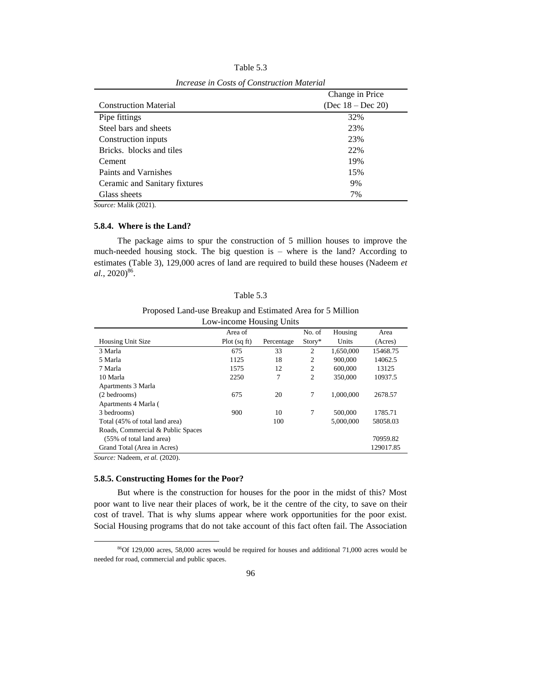|                               | Change in Price      |
|-------------------------------|----------------------|
| <b>Construction Material</b>  | (Dec $18 - Dec 20$ ) |
| Pipe fittings                 | 32%                  |
| Steel bars and sheets         | 23%                  |
| Construction inputs           | 23%                  |
| Bricks. blocks and tiles      | 22%                  |
| Cement                        | 19%                  |
| Paints and Varnishes          | 15%                  |
| Ceramic and Sanitary fixtures | 9%                   |
| Glass sheets                  | 7%                   |

Table 5.3 *Increase in Costs of Construction Material*

*Source:* Malik (2021).

## **5.8.4. Where is the Land?**

The package aims to spur the construction of 5 million houses to improve the much-needed housing stock. The big question is – where is the land? According to estimates (Table 3), 129,000 acres of land are required to build these houses (Nadeem *et*  al., 2020)<sup>86</sup>.

| anie |
|------|
|------|

Proposed Land-use Breakup and Estimated Area for 5 Million

| Low-income Housing Units                                                                                                                                                                                                                                                                                                           |              |            |                |           |           |
|------------------------------------------------------------------------------------------------------------------------------------------------------------------------------------------------------------------------------------------------------------------------------------------------------------------------------------|--------------|------------|----------------|-----------|-----------|
|                                                                                                                                                                                                                                                                                                                                    | Area of      |            | No. of         | Housing   | Area      |
| Housing Unit Size                                                                                                                                                                                                                                                                                                                  | Plot (sq ft) | Percentage | Story*         | Units     | (Acres)   |
| 3 Marla                                                                                                                                                                                                                                                                                                                            | 675          | 33         | 2              | 1,650,000 | 15468.75  |
| 5 Marla                                                                                                                                                                                                                                                                                                                            | 1125         | 18         | 2              | 900,000   | 14062.5   |
| 7 Marla                                                                                                                                                                                                                                                                                                                            | 1575         | 12         | $\overline{2}$ | 600,000   | 13125     |
| 10 Marla                                                                                                                                                                                                                                                                                                                           | 2250         | 7          | $\overline{c}$ | 350,000   | 10937.5   |
| Apartments 3 Marla                                                                                                                                                                                                                                                                                                                 |              |            |                |           |           |
| (2 bedrooms)                                                                                                                                                                                                                                                                                                                       | 675          | 20         | 7              | 1.000.000 | 2678.57   |
| Apartments 4 Marla (                                                                                                                                                                                                                                                                                                               |              |            |                |           |           |
| 3 bedrooms)                                                                                                                                                                                                                                                                                                                        | 900          | 10         | $\tau$         | 500,000   | 1785.71   |
| Total (45% of total land area)                                                                                                                                                                                                                                                                                                     |              | 100        |                | 5,000,000 | 58058.03  |
| Roads, Commercial & Public Spaces                                                                                                                                                                                                                                                                                                  |              |            |                |           |           |
| (55% of total land area)                                                                                                                                                                                                                                                                                                           |              |            |                |           | 70959.82  |
| Grand Total (Area in Acres)                                                                                                                                                                                                                                                                                                        |              |            |                |           | 129017.85 |
| $\mathbf{r}$ $\mathbf{r}$ $\mathbf{r}$ $\mathbf{r}$ $\mathbf{r}$ $\mathbf{r}$ $\mathbf{r}$ $\mathbf{r}$ $\mathbf{r}$ $\mathbf{r}$ $\mathbf{r}$ $\mathbf{r}$ $\mathbf{r}$ $\mathbf{r}$ $\mathbf{r}$ $\mathbf{r}$ $\mathbf{r}$ $\mathbf{r}$ $\mathbf{r}$ $\mathbf{r}$ $\mathbf{r}$ $\mathbf{r}$ $\mathbf{r}$ $\mathbf{r}$ $\mathbf{$ |              |            |                |           |           |

*Source:* Nadeem, *et al.* (2020).

 $\overline{a}$ 

## **5.8.5. Constructing Homes for the Poor?**

But where is the construction for houses for the poor in the midst of this? Most poor want to live near their places of work, be it the centre of the city, to save on their cost of travel. That is why slums appear where work opportunities for the poor exist. Social Housing programs that do not take account of this fact often fail. The Association

<sup>86</sup>Of 129,000 acres, 58,000 acres would be required for houses and additional 71,000 acres would be needed for road, commercial and public spaces.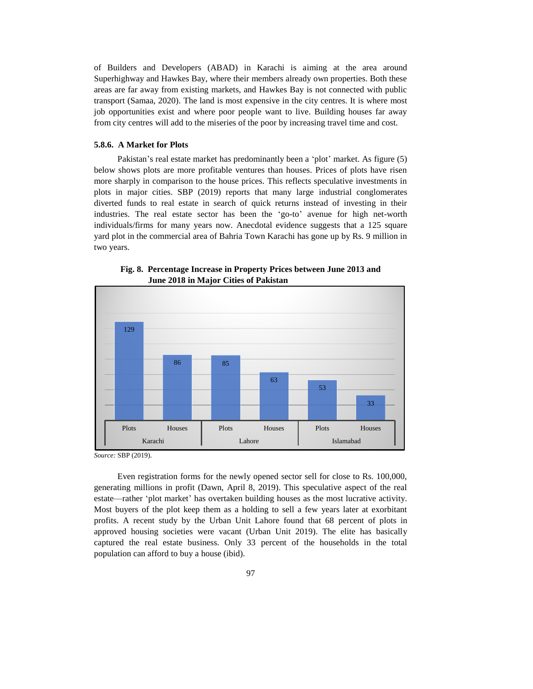of Builders and Developers (ABAD) in Karachi is aiming at the area around Superhighway and Hawkes Bay, where their members already own properties. Both these areas are far away from existing markets, and Hawkes Bay is not connected with public transport (Samaa, 2020). The land is most expensive in the city centres. It is where most job opportunities exist and where poor people want to live. Building houses far away from city centres will add to the miseries of the poor by increasing travel time and cost.

### **5.8.6. A Market for Plots**

Pakistan's real estate market has predominantly been a 'plot' market. As figure (5) below shows plots are more profitable ventures than houses. Prices of plots have risen more sharply in comparison to the house prices. This reflects speculative investments in plots in major cities. SBP (2019) reports that many large industrial conglomerates diverted funds to real estate in search of quick returns instead of investing in their industries. The real estate sector has been the 'go-to' avenue for high net-worth individuals/firms for many years now. Anecdotal evidence suggests that a 125 square yard plot in the commercial area of Bahria Town Karachi has gone up by Rs. 9 million in two years.



**Fig. 8. Percentage Increase in Property Prices between June 2013 and June 2018 in Major Cities of Pakistan**

*Source:* SBP (2019).

Even registration forms for the newly opened sector sell for close to Rs. 100,000, generating millions in profit (Dawn, April 8, 2019). This speculative aspect of the real estate—rather 'plot market' has overtaken building houses as the most lucrative activity. Most buyers of the plot keep them as a holding to sell a few years later at exorbitant profits. A recent study by the Urban Unit Lahore found that 68 percent of plots in approved housing societies were vacant (Urban Unit 2019). The elite has basically captured the real estate business. Only 33 percent of the households in the total population can afford to buy a house (ibid).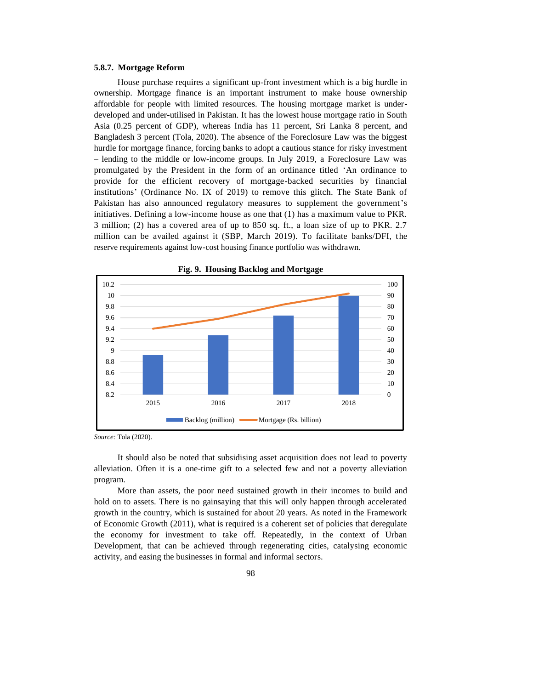## **5.8.7. Mortgage Reform**

House purchase requires a significant up-front investment which is a big hurdle in ownership. Mortgage finance is an important instrument to make house ownership affordable for people with limited resources. The housing mortgage market is underdeveloped and under-utilised in Pakistan. It has the lowest house mortgage ratio in South Asia (0.25 percent of GDP), whereas India has 11 percent, Sri Lanka 8 percent, and Bangladesh 3 percent (Tola, 2020). The absence of the Foreclosure Law was the biggest hurdle for mortgage finance, forcing banks to adopt a cautious stance for risky investment – lending to the middle or low-income groups. In July 2019, a Foreclosure Law was promulgated by the President in the form of an ordinance titled 'An ordinance to provide for the efficient recovery of mortgage-backed securities by financial institutions' (Ordinance No. IX of 2019) to remove this glitch. The State Bank of Pakistan has also announced regulatory measures to supplement the government's initiatives. Defining a low-income house as one that (1) has a maximum value to PKR. 3 million; (2) has a covered area of up to 850 sq. ft., a loan size of up to PKR. 2.7 million can be availed against it (SBP, March 2019). To facilitate banks/DFI, the reserve requirements against low-cost housing finance portfolio was withdrawn.



**Fig. 9. Housing Backlog and Mortgage**

It should also be noted that subsidising asset acquisition does not lead to poverty alleviation. Often it is a one-time gift to a selected few and not a poverty alleviation program.

More than assets, the poor need sustained growth in their incomes to build and hold on to assets. There is no gainsaying that this will only happen through accelerated growth in the country, which is sustained for about 20 years. As noted in the Framework of Economic Growth (2011), what is required is a coherent set of policies that deregulate the economy for investment to take off. Repeatedly, in the context of Urban Development, that can be achieved through regenerating cities, catalysing economic activity, and easing the businesses in formal and informal sectors.

*Source:* Tola (2020).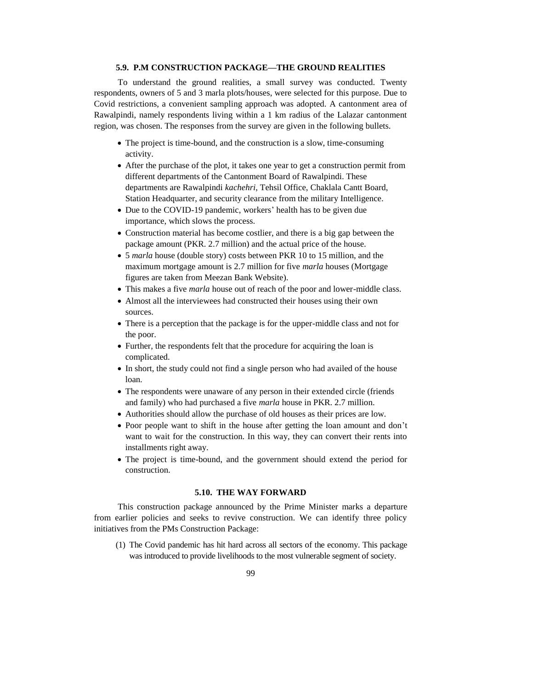# **5.9. P.M CONSTRUCTION PACKAGE—THE GROUND REALITIES**

To understand the ground realities, a small survey was conducted. Twenty respondents, owners of 5 and 3 marla plots/houses, were selected for this purpose. Due to Covid restrictions, a convenient sampling approach was adopted. A cantonment area of Rawalpindi, namely respondents living within a 1 km radius of the Lalazar cantonment region, was chosen. The responses from the survey are given in the following bullets.

- The project is time-bound, and the construction is a slow, time-consuming activity.
- After the purchase of the plot, it takes one year to get a construction permit from different departments of the Cantonment Board of Rawalpindi. These departments are Rawalpindi *kachehri*, Tehsil Office, Chaklala Cantt Board, Station Headquarter, and security clearance from the military Intelligence.
- Due to the COVID-19 pandemic, workers' health has to be given due importance, which slows the process.
- Construction material has become costlier, and there is a big gap between the package amount (PKR. 2.7 million) and the actual price of the house.
- 5 *marla* house (double story) costs between PKR 10 to 15 million, and the maximum mortgage amount is 2.7 million for five *marla* houses (Mortgage figures are taken from Meezan Bank Website).
- This makes a five *marla* house out of reach of the poor and lower-middle class.
- Almost all the interviewees had constructed their houses using their own sources.
- There is a perception that the package is for the upper-middle class and not for the poor.
- Further, the respondents felt that the procedure for acquiring the loan is complicated.
- In short, the study could not find a single person who had availed of the house loan.
- The respondents were unaware of any person in their extended circle (friends and family) who had purchased a five *marla* house in PKR. 2.7 million.
- Authorities should allow the purchase of old houses as their prices are low.
- Poor people want to shift in the house after getting the loan amount and don't want to wait for the construction. In this way, they can convert their rents into installments right away.
- The project is time-bound, and the government should extend the period for construction.

# **5.10. THE WAY FORWARD**

This construction package announced by the Prime Minister marks a departure from earlier policies and seeks to revive construction. We can identify three policy initiatives from the PMs Construction Package:

(1) The Covid pandemic has hit hard across all sectors of the economy. This package was introduced to provide livelihoods to the most vulnerable segment of society.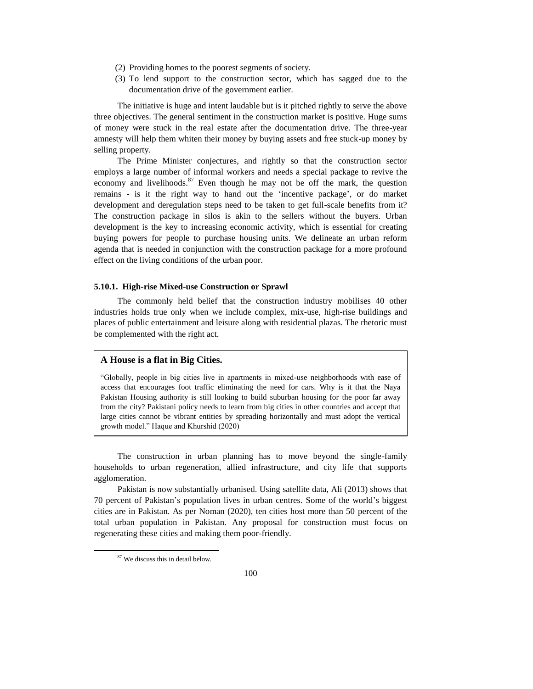- (2) Providing homes to the poorest segments of society.
- (3) To lend support to the construction sector, which has sagged due to the documentation drive of the government earlier.

The initiative is huge and intent laudable but is it pitched rightly to serve the above three objectives. The general sentiment in the construction market is positive. Huge sums of money were stuck in the real estate after the documentation drive. The three-year amnesty will help them whiten their money by buying assets and free stuck-up money by selling property.

The Prime Minister conjectures, and rightly so that the construction sector employs a large number of informal workers and needs a special package to revive the economy and livelihoods.<sup>87</sup> Even though he may not be off the mark, the question remains - is it the right way to hand out the 'incentive package', or do market development and deregulation steps need to be taken to get full-scale benefits from it? The construction package in silos is akin to the sellers without the buyers. Urban development is the key to increasing economic activity, which is essential for creating buying powers for people to purchase housing units. We delineate an urban reform agenda that is needed in conjunction with the construction package for a more profound effect on the living conditions of the urban poor.

## **5.10.1. High-rise Mixed-use Construction or Sprawl**

The commonly held belief that the construction industry mobilises 40 other industries holds true only when we include complex, mix-use, high-rise buildings and places of public entertainment and leisure along with residential plazas. The rhetoric must be complemented with the right act.

## **A House is a flat in Big Cities.**

"Globally, people in big cities live in apartments in mixed-use neighborhoods with ease of access that encourages foot traffic eliminating the need for cars. Why is it that the Naya Pakistan Housing authority is still looking to build suburban housing for the poor far away from the city? Pakistani policy needs to learn from big cities in other countries and accept that large cities cannot be vibrant entities by spreading horizontally and must adopt the vertical growth model." Haque and Khurshid (2020)

The construction in urban planning has to move beyond the single-family households to urban regeneration, allied infrastructure, and city life that supports agglomeration.

Pakistan is now substantially urbanised. Using satellite data, Ali (2013) shows that 70 percent of Pakistan's population lives in urban centres. Some of the world's biggest cities are in Pakistan. As per Noman (2020), ten cities host more than 50 percent of the total urban population in Pakistan. Any proposal for construction must focus on regenerating these cities and making them poor-friendly.

<sup>87</sup> We discuss this in detail below.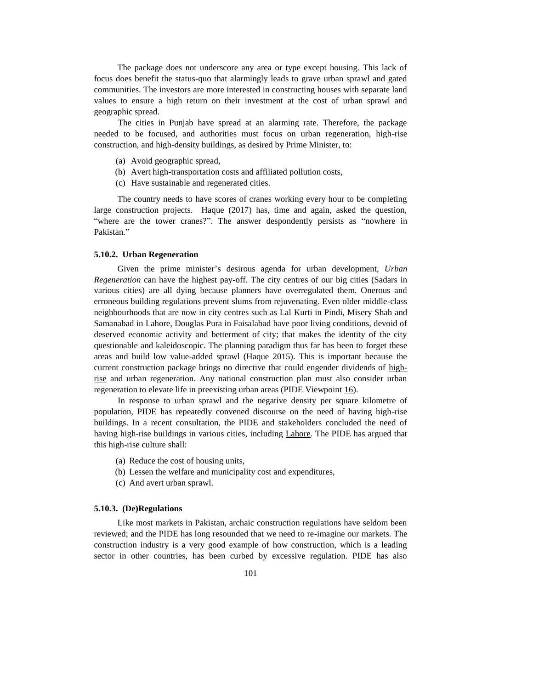The package does not underscore any area or type except housing. This lack of focus does benefit the status-quo that alarmingly leads to grave urban sprawl and gated communities. The investors are more interested in constructing houses with separate land values to ensure a high return on their investment at the cost of urban sprawl and geographic spread.

The cities in Punjab have spread at an alarming rate. Therefore, the package needed to be focused, and authorities must focus on urban regeneration, high-rise construction, and high-density buildings, as desired by Prime Minister, to:

- (a) Avoid geographic spread,
- (b) Avert high-transportation costs and affiliated pollution costs,
- (c) Have sustainable and regenerated cities.

The country needs to have scores of cranes working every hour to be completing large construction projects. Haque (2017) has, time and again, asked the question, "where are the tower cranes?". The answer despondently persists as "nowhere in Pakistan."

#### **5.10.2. Urban Regeneration**

Given the prime minister's desirous agenda for urban development, *Urban Regeneration* can have the highest pay-off. The city centres of our big cities (Sadars in various cities) are all dying because planners have overregulated them. Onerous and erroneous building regulations prevent slums from rejuvenating. Even older middle-class neighbourhoods that are now in city centres such as Lal Kurti in Pindi, Misery Shah and Samanabad in Lahore, Douglas Pura in Faisalabad have poor living conditions, devoid of deserved economic activity and betterment of city; that makes the identity of the city questionable and kaleidoscopic. The planning paradigm thus far has been to forget these areas and build low value-added sprawl (Haque 2015). This is important because the current construction package brings no directive that could engender dividends of [high](https://www.pide.org.pk/pdf/Policy-Viewpoint-12.pdf)[rise](https://www.pide.org.pk/pdf/Policy-Viewpoint-12.pdf) and urban regeneration. Any national construction plan must also consider urban regeneration to elevate life in preexisting urban areas (PIDE Viewpoint [16\)](https://pide.org.pk/pdf/Policy-Viewpoint-16.pdf).

In response to urban sprawl and the negative density per square kilometre of population, PIDE has repeatedly convened discourse on the need of having high-rise buildings. In a recent consultation, the PIDE and stakeholders concluded the need of having high-rise buildings in various cities, including [Lahore.](https://www.pide.org.pk/pdf/Policy-Viewpoint-12.pdf) The PIDE has argued that this high-rise culture shall:

- (a) Reduce the cost of housing units,
- (b) Lessen the welfare and municipality cost and expenditures,
- (c) And avert urban sprawl.

### **5.10.3. (De)Regulations**

Like most markets in Pakistan, archaic construction regulations have seldom been reviewed; and the PIDE has long resounded that we need to re-imagine our markets. The construction industry is a very good example of how construction, which is a leading sector in other countries, has been curbed by excessive regulation. PIDE has also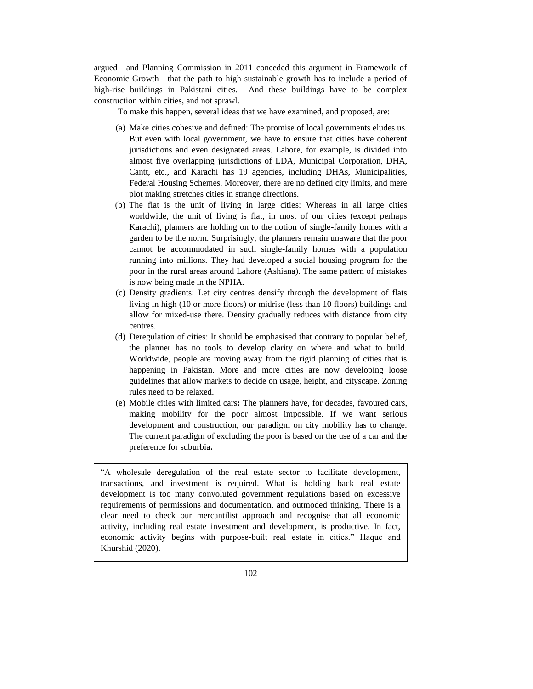argued—and Planning Commission in 2011 conceded this argument in Framework of Economic Growth—that the path to high sustainable growth has to include a period of high-rise buildings in Pakistani cities. And these buildings have to be complex construction within cities, and not sprawl.

To make this happen, several ideas that we have examined, and proposed, are:

- (a) Make cities cohesive and defined: The promise of local governments eludes us. But even with local government, we have to ensure that cities have coherent jurisdictions and even designated areas. Lahore, for example, is divided into almost five overlapping jurisdictions of LDA, Municipal Corporation, DHA, Cantt, etc., and Karachi has 19 agencies, including DHAs, Municipalities, Federal Housing Schemes. Moreover, there are no defined city limits, and mere plot making stretches cities in strange directions.
- (b) The flat is the unit of living in large cities: Whereas in all large cities worldwide, the unit of living is flat, in most of our cities (except perhaps Karachi), planners are holding on to the notion of single-family homes with a garden to be the norm. Surprisingly, the planners remain unaware that the poor cannot be accommodated in such single-family homes with a population running into millions. They had developed a social housing program for the poor in the rural areas around Lahore (Ashiana). The same pattern of mistakes is now being made in the NPHA.
- (c) Density gradients: Let city centres densify through the development of flats living in high (10 or more floors) or midrise (less than 10 floors) buildings and allow for mixed-use there. Density gradually reduces with distance from city centres.
- (d) Deregulation of cities: It should be emphasised that contrary to popular belief, the planner has no tools to develop clarity on where and what to build. Worldwide, people are moving away from the rigid planning of cities that is happening in Pakistan. More and more cities are now developing loose guidelines that allow markets to decide on usage, height, and cityscape. Zoning rules need to be relaxed.
- (e) Mobile cities with limited cars**:** The planners have, for decades, favoured cars, making mobility for the poor almost impossible. If we want serious development and construction, our paradigm on city mobility has to change. The current paradigm of excluding the poor is based on the use of a car and the preference for suburbia**.**

"A wholesale deregulation of the real estate sector to facilitate development, transactions, and investment is required. What is holding back real estate development is too many convoluted government regulations based on excessive requirements of permissions and documentation, and outmoded thinking. There is a clear need to check our mercantilist approach and recognise that all economic activity, including real estate investment and development, is productive. In fact, economic activity begins with purpose-built real estate in cities." Haque and Khurshid (2020).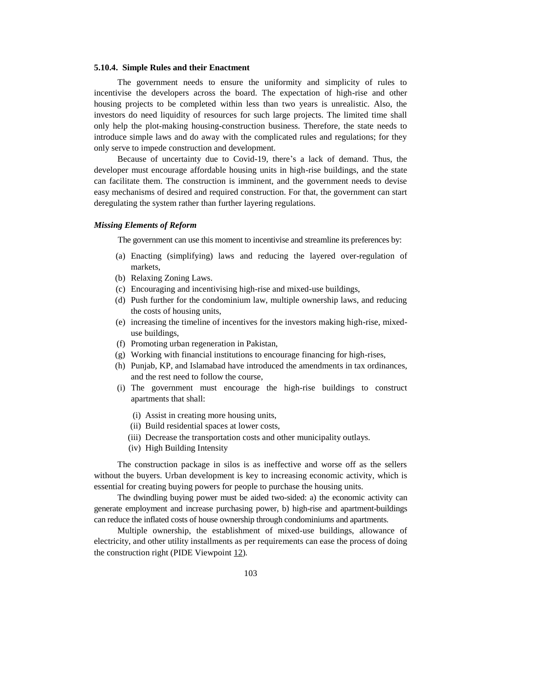### **5.10.4. Simple Rules and their Enactment**

The government needs to ensure the uniformity and simplicity of rules to incentivise the developers across the board. The expectation of high-rise and other housing projects to be completed within less than two years is unrealistic. Also, the investors do need liquidity of resources for such large projects. The limited time shall only help the plot-making housing-construction business. Therefore, the state needs to introduce simple laws and do away with the complicated rules and regulations; for they only serve to impede construction and development.

Because of uncertainty due to Covid-19, there's a lack of demand. Thus, the developer must encourage affordable housing units in high-rise buildings, and the state can facilitate them. The construction is imminent, and the government needs to devise easy mechanisms of desired and required construction. For that, the government can start deregulating the system rather than further layering regulations.

### *Missing Elements of Reform*

The government can use this moment to incentivise and streamline its preferences by:

- (a) Enacting (simplifying) laws and reducing the layered over-regulation of markets,
- (b) Relaxing Zoning Laws.
- (c) Encouraging and incentivising high-rise and mixed-use buildings,
- (d) Push further for the condominium law, multiple ownership laws, and reducing the costs of housing units,
- (e) increasing the timeline of incentives for the investors making high-rise, mixeduse buildings,
- (f) Promoting urban regeneration in Pakistan,
- (g) Working with financial institutions to encourage financing for high-rises,
- (h) Punjab, KP, and Islamabad have introduced the amendments in tax ordinances, and the rest need to follow the course,
- (i) The government must encourage the high-rise buildings to construct apartments that shall:
	- (i) Assist in creating more housing units,
	- (ii) Build residential spaces at lower costs,
	- (iii) Decrease the transportation costs and other municipality outlays.
	- (iv) High Building Intensity

The construction package in silos is as ineffective and worse off as the sellers without the buyers. Urban development is key to increasing economic activity, which is essential for creating buying powers for people to purchase the housing units.

The dwindling buying power must be aided two-sided: a) the economic activity can generate employment and increase purchasing power, b) high-rise and apartment-buildings can reduce the inflated costs of house ownership through condominiums and apartments.

Multiple ownership, the establishment of mixed-use buildings, allowance of electricity, and other utility installments as per requirements can ease the process of doing the construction right (PIDE Viewpoint [12\)](https://www.pide.org.pk/pdf/Policy-Viewpoint-12.pdf)*.*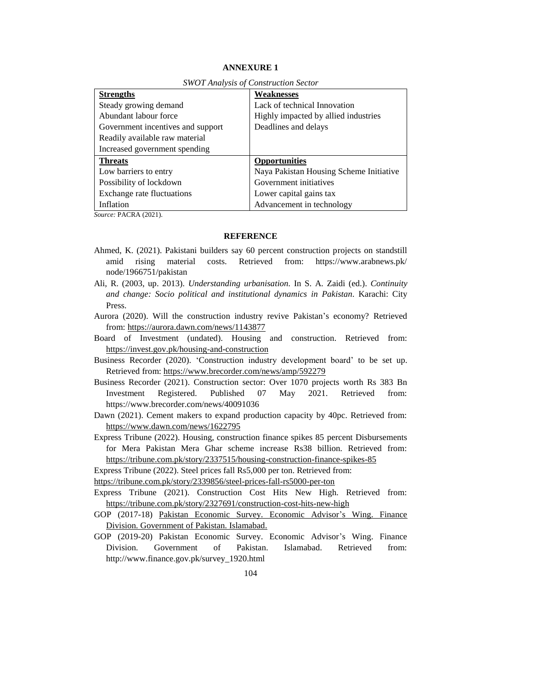# **ANNEXURE 1**

| <b>Strengths</b>                  | Weaknesses                              |
|-----------------------------------|-----------------------------------------|
| Steady growing demand             | Lack of technical Innovation            |
| Abundant labour force             | Highly impacted by allied industries    |
| Government incentives and support | Deadlines and delays                    |
| Readily available raw material    |                                         |
| Increased government spending     |                                         |
| <b>Threats</b>                    | <b>Opportunities</b>                    |
| Low barriers to entry             | Naya Pakistan Housing Scheme Initiative |
| Possibility of lockdown           | Government initiatives                  |
| Exchange rate fluctuations        | Lower capital gains tax                 |
| Inflation                         | Advancement in technology               |

*SWOT Analysis of Construction Sector*

*Source:* PACRA (2021).

#### **REFERENCE**

- Ahmed, K. (2021). Pakistani builders say 60 percent construction projects on standstill amid rising material costs. Retrieved from: https://www.arabnews.pk/ node/1966751/pakistan
- Ali, R. (2003, up. 2013). *Understanding urbanisation.* In S. A. Zaidi (ed.). *Continuity and change: Socio political and institutional dynamics in Pakistan*. Karachi: City Press.
- Aurora (2020). Will the construction industry revive Pakistan's economy? Retrieved from[: https://aurora.dawn.com/news/1143877](https://aurora.dawn.com/news/1143877)
- Board of Investment (undated). Housing and construction. Retrieved from: <https://invest.gov.pk/housing-and-construction>
- Business Recorder (2020). 'Construction industry development board' to be set up. Retrieved from:<https://www.brecorder.com/news/amp/592279>

Business Recorder (2021). Construction sector: Over 1070 projects worth Rs 383 Bn Investment Registered. Published 07 May 2021. Retrieved from: <https://www.brecorder.com/news/40091036>

Dawn (2021). Cement makers to expand production capacity by 40pc. Retrieved from: <https://www.dawn.com/news/1622795>

Express Tribune (2022). Housing, construction finance spikes 85 percent Disbursements for Mera Pakistan Mera Ghar scheme increase Rs38 billion. Retrieved from: <https://tribune.com.pk/story/2337515/housing-construction-finance-spikes-85>

Express Tribune (2022). Steel prices fall Rs5,000 per ton. Retrieved from:

https://tribune.com.pk/story/2339856/steel-prices-fall-rs5000-per-ton

Express Tribune (2021). Construction Cost Hits New High. Retrieved from: <https://tribune.com.pk/story/2327691/construction-cost-hits-new-high>

- GOP (2017-18) Pakistan Economic Survey. Economic Advisor's Wing. Finance Division. Government of Pakistan. Islamabad.
- GOP (2019-20) Pakistan Economic Survey. Economic Advisor's Wing. Finance Division. Government of Pakistan. Islamabad. Retrieved from: [http://www.finance.gov.pk/survey\\_1920.html](http://www.finance.gov.pk/survey_1920.html)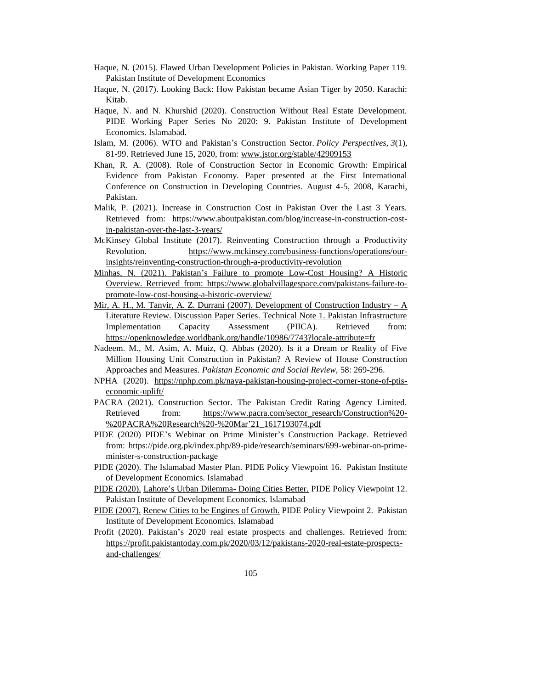- Haque, N. (2015). Flawed Urban Development Policies in Pakistan. Working Paper 119. Pakistan Institute of Development Economics
- Haque, N. (2017). Looking Back: How Pakistan became Asian Tiger by 2050. Karachi: Kitab.
- Haque, N. and N. Khurshid (2020). Construction Without Real Estate Development. PIDE Working Paper Series No 2020: 9. Pakistan Institute of Development Economics. Islamabad.
- Islam, M. (2006). WTO and Pakistan's Construction Sector. *Policy Perspectives, 3*(1), 81-99. Retrieved June 15, 2020, from: [www.jstor.org/stable/42909153](http://www.jstor.org/stable/42909153)
- Khan, R. A. (2008). Role of Construction Sector in Economic Growth: Empirical Evidence from Pakistan Economy. Paper presented at the First International Conference on Construction in Developing Countries. August 4-5, 2008, Karachi, Pakistan.
- Malik, P. (2021). Increase in Construction Cost in Pakistan Over the Last 3 Years. Retrieved from: [https://www.aboutpakistan.com/blog/increase-in-construction-cost](https://www.aboutpakistan.com/blog/increase-in-construction-cost-in-pakistan-over-the-last-3-years/)[in-pakistan-over-the-last-3-years/](https://www.aboutpakistan.com/blog/increase-in-construction-cost-in-pakistan-over-the-last-3-years/)
- McKinsey Global Institute (2017). Reinventing Construction through a Productivity Revolution. [https://www.mckinsey.com/business-functions/operations/our](https://www.mckinsey.com/business-functions/operations/our-insights/reinventing-construction-through-a-productivity-revolution)[insights/reinventing-construction-through-a-productivity-revolution](https://www.mckinsey.com/business-functions/operations/our-insights/reinventing-construction-through-a-productivity-revolution)
- Minhas, N. (2021). Pakistan's Failure to promote Low-Cost Housing? A Historic Overview. Retrieved from: [https://www.globalvillagespace.com/pakistans-failure-to](https://www.globalvillagespace.com/pakistans-failure-to-promote-low-cost-housing-a-historic-overview/)[promote-low-cost-housing-a-historic-overview/](https://www.globalvillagespace.com/pakistans-failure-to-promote-low-cost-housing-a-historic-overview/)
- Mir, A. H., M. Tanvir, A. Z. Durrani (2007). Development of Construction Industry  $-A$ Literature Review. Discussion Paper Series. Technical Note 1. Pakistan Infrastructure Implementation Capacity Assessment (PIICA). Retrieved from: <https://openknowledge.worldbank.org/handle/10986/7743?locale-attribute=fr>
- Nadeem. M., M. Asim, A. Muiz, Q. Abbas (2020). Is it a Dream or Reality of Five Million Housing Unit Construction in Pakistan? A Review of House Construction Approaches and Measures. *Pakistan Economic and Social Review,* 58: 269-296.
- NPHA (2020). [https://nphp.com.pk/naya-pakistan-housing-project-corner-stone-of-ptis](https://nphp.com.pk/naya-pakistan-housing-project-corner-stone-of-ptis-economic-uplift/)[economic-uplift/](https://nphp.com.pk/naya-pakistan-housing-project-corner-stone-of-ptis-economic-uplift/)
- PACRA (2021). Construction Sector. The Pakistan Credit Rating Agency Limited. Retrieved from: [https://www.pacra.com/sector\\_research/Construction%20-](https://www.pacra.com/sector_research/Construction%20-%20PACRA%20Research%20-%20Mar) [%20PACRA%20Research%20-%20Mar'21\\_1617193074.pdf](https://www.pacra.com/sector_research/Construction%20-%20PACRA%20Research%20-%20Mar)
- PIDE (2020) PIDE's Webinar on Prime Minister's Construction Package. Retrieved from: [https://pide.org.pk/index.php/89-pide/research/seminars/699-webinar-on-prime](https://pide.org.pk/index.php/89-pide/research/seminars/699-webinar-on-prime-minister-s-construction-package)[minister-s-construction-package](https://pide.org.pk/index.php/89-pide/research/seminars/699-webinar-on-prime-minister-s-construction-package)
- PIDE (2020). The Islamabad Master Plan. PIDE Policy Viewpoint 16. Pakistan Institute of Development Economics. Islamabad
- PIDE (2020). Lahore's Urban Dilemma- Doing Cities Better. PIDE Policy Viewpoint 12. Pakistan Institute of Development Economics. Islamabad
- PIDE (2007). Renew Cities to be Engines of Growth. PIDE Policy Viewpoint 2. Pakistan Institute of Development Economics. Islamabad
- Profit (2020). Pakistan's 2020 real estate prospects and challenges. Retrieved from: [https://profit.pakistantoday.com.pk/2020/03/12/pakistans-2020-real-estate-prospects](https://profit.pakistantoday.com.pk/2020/03/12/pakistans-2020-real-estate-prospects-and-challenges/)[and-challenges/](https://profit.pakistantoday.com.pk/2020/03/12/pakistans-2020-real-estate-prospects-and-challenges/)